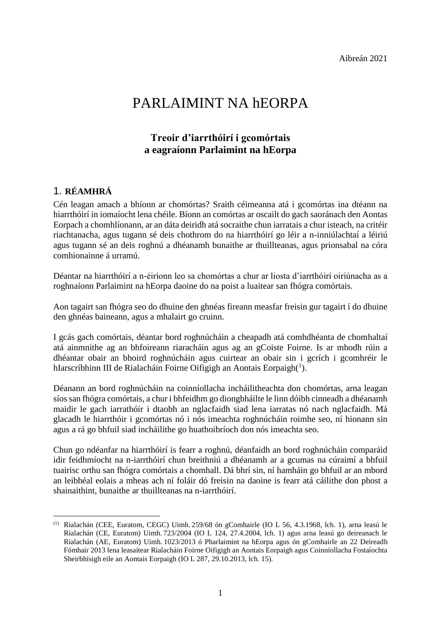Aibreán 2021

# PARLAIMINT NA hEORPA

### **Treoir d'iarrthóirí i gcomórtais a eagraíonn Parlaimint na hEorpa**

### 1. **RÉAMHRÁ**

1

Cén leagan amach a bhíonn ar chomórtas? Sraith céimeanna atá i gcomórtas ina dtéann na hiarrthóirí in iomaíocht lena chéile. Bíonn an comórtas ar oscailt do gach saoránach den Aontas Eorpach a chomhlíonann, ar an dáta deiridh atá socraithe chun iarratais a chur isteach, na critéir riachtanacha, agus tugann sé deis chothrom do na hiarrthóirí go léir a n-inniúlachtaí a léiriú agus tugann sé an deis roghnú a dhéanamh bunaithe ar thuillteanas, agus prionsabal na córa comhionainne á urramú.

Déantar na hiarrthóirí a n-éiríonn leo sa chomórtas a chur ar liosta d'iarrthóirí oiriúnacha as a roghnaíonn Parlaimint na hEorpa daoine do na poist a luaitear san fhógra comórtais.

Aon tagairt san fhógra seo do dhuine den ghnéas fireann measfar freisin gur tagairt í do dhuine den ghnéas baineann, agus a mhalairt go cruinn.

I gcás gach comórtais, déantar bord roghnúcháin a cheapadh atá comhdhéanta de chomhaltaí atá ainmnithe ag an bhfoireann riaracháin agus ag an gCoiste Foirne. Is ar mhodh rúin a dhéantar obair an bhoird roghnúcháin agus cuirtear an obair sin i gcrích i gcomhréir le hIarscríbhinn III de Rialacháin Foirne Oifigigh an Aontais Eorpaigh $(^1)$ .

Déanann an bord roghnúcháin na coinníollacha incháilitheachta don chomórtas, arna leagan síos san fhógra comórtais, a chur i bhfeidhm go diongbháilte le linn dóibh cinneadh a dhéanamh maidir le gach iarrathóir i dtaobh an nglacfaidh siad lena iarratas nó nach nglacfaidh. Má glacadh le hiarrthóir i gcomórtas nó i nós imeachta roghnúcháin roimhe seo, ní hionann sin agus a rá go bhfuil siad incháilithe go huathoibríoch don nós imeachta seo.

Chun go ndéanfar na hiarrthóirí is fearr a roghnú, déanfaidh an bord roghnúcháin comparáid idir feidhmíocht na n-iarrthóirí chun breithniú a dhéanamh ar a gcumas na cúraimí a bhfuil tuairisc orthu san fhógra comórtais a chomhall. Dá bhrí sin, ní hamháin go bhfuil ar an mbord an leibhéal eolais a mheas ach ní foláir dó freisin na daoine is fearr atá cáilithe don phost a shainaithint, bunaithe ar thuillteanas na n-iarrthóirí.

<sup>(1)</sup> Rialachán (CEE, Euratom, CEGC) Uimh. 259/68 ón gComhairle (IO L 56, 4.3.1968, lch. 1), arna leasú le Rialachán (CE, Euratom) Uimh. 723/2004 (IO L 124, 27.4.2004, lch. 1) agus arna leasú go deireanach le Rialachán (AE, Euratom) Uimh. 1023/2013 ó Pharlaimint na hEorpa agus ón gComhairle an 22 Deireadh Fómhair 2013 lena leasaítear Rialacháin Foirne Oifigigh an Aontais Eorpaigh agus Coinníollacha Fostaíochta Sheirbhísigh eile an Aontais Eorpaigh (IO L 287, 29.10.2013, lch. 15).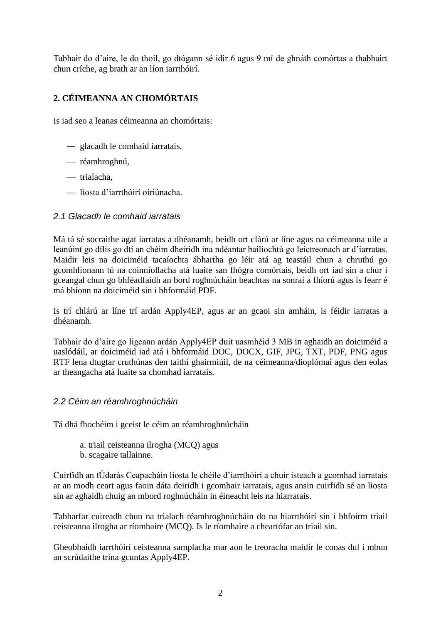Tabhair do d'aire, le do thoil, go dtógann sé idir 6 agus 9 mí de ghnáth comórtas a thabhairt chun críche, ag brath ar an líon iarrthóirí.

### **2. CÉIMEANNA AN CHOMÓRTAIS**

Is iad seo a leanas céimeanna an chomórtais:

- ― glacadh le comhaid iarratais,
- réamhroghnú,
- trialacha,
- liosta d'iarrthóirí oiriúnacha.

#### *2.1 Glacadh le comhaid iarratais*

Má tá sé socraithe agat iarratas a dhéanamh, beidh ort clárú ar líne agus na céimeanna uile a leanúint go dílis go dtí an chéim dheiridh ina ndéantar bailíochtú go leictreonach ar d'iarratas. Maidir leis na doiciméid tacaíochta ábhartha go léir atá ag teastáil chun a chruthú go gcomhlíonann tú na coinníollacha atá luaite san fhógra comórtais, beidh ort iad sin a chur i gceangal chun go bhféadfaidh an bord roghnúcháin beachtas na sonraí a fhíorú agus is fearr é má bhíonn na doiciméid sin i bhformáid PDF.

Is trí chlárú ar líne trí ardán Apply4EP, agus ar an gcaoi sin amháin, is féidir iarratas a dhéanamh.

Tabhair do d'aire go ligeann ardán Apply4EP duit uasmhéid 3 MB in aghaidh an doiciméid a uaslódáil, ar doiciméid iad atá i bhformáid DOC, DOCX, GIF, JPG, TXT, PDF, PNG agus RTF lena dtugtar cruthúnas den taithí ghairmiúil, de na céimeanna/dioplómaí agus den eolas ar theangacha atá luaite sa chomhad iarratais.

### *2.2 Céim an réamhroghnúcháin*

Tá dhá fhochéim i gceist le céim an réamhroghnúcháin

- a. triail ceisteanna ilrogha (MCQ) agus
- b. scagaire tallainne.

Cuirfidh an tÚdarás Ceapacháin liosta le chéile d'iarrthóirí a chuir isteach a gcomhad iarratais ar an modh ceart agus faoin dáta deiridh i gcomhair iarratais, agus ansin cuirfidh sé an liosta sin ar aghaidh chuig an mbord roghnúcháin in éineacht leis na hiarratais.

Tabharfar cuireadh chun na trialach réamhroghnúcháin do na hiarrthóirí sin i bhfoirm triail ceisteanna ilrogha ar ríomhaire (MCQ). Is le ríomhaire a cheartófar an triail sin.

Gheobhaidh iarrthóirí ceisteanna samplacha mar aon le treoracha maidir le conas dul i mbun an scrúdaithe trína gcuntas Apply4EP.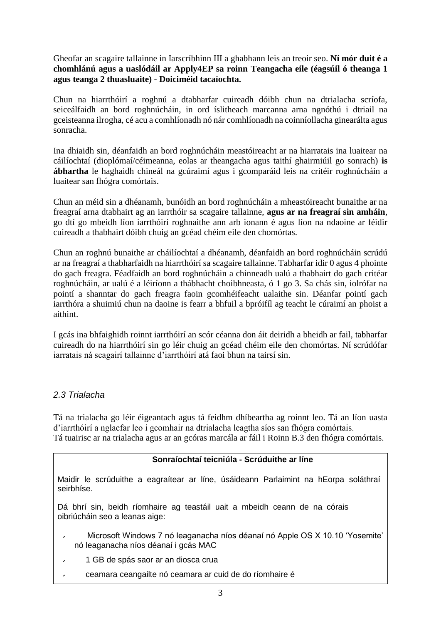Gheofar an scagaire tallainne in Iarscríbhinn III a ghabhann leis an treoir seo. **Ní mór duit é a chomhlánú agus a uaslódáil ar Apply4EP sa roinn Teangacha eile (éagsúil ó theanga 1 agus teanga 2 thuasluaite) - Doiciméid tacaíochta.**

Chun na hiarrthóirí a roghnú a dtabharfar cuireadh dóibh chun na dtrialacha scríofa, seiceálfaidh an bord roghnúcháin, in ord íslitheach marcanna arna ngnóthú i dtriail na gceisteanna ilrogha, cé acu a comhlíonadh nó nár comhlíonadh na coinníollacha ginearálta agus sonracha.

Ina dhiaidh sin, déanfaidh an bord roghnúcháin meastóireacht ar na hiarratais ina luaitear na cáilíochtaí (dioplómaí/céimeanna, eolas ar theangacha agus taithí ghairmiúil go sonrach) **is ábhartha** le haghaidh chineál na gcúraimí agus i gcomparáid leis na critéir roghnúcháin a luaitear san fhógra comórtais.

Chun an méid sin a dhéanamh, bunóidh an bord roghnúcháin a mheastóireacht bunaithe ar na freagraí arna dtabhairt ag an iarrthóir sa scagaire tallainne, **agus ar na freagraí sin amháin**, go dtí go mbeidh líon iarrthóirí roghnaithe ann arb ionann é agus líon na ndaoine ar féidir cuireadh a thabhairt dóibh chuig an gcéad chéim eile den chomórtas.

Chun an roghnú bunaithe ar cháilíochtaí a dhéanamh, déanfaidh an bord roghnúcháin scrúdú ar na freagraí a thabharfaidh na hiarrthóirí sa scagaire tallainne. Tabharfar idir 0 agus 4 phointe do gach freagra. Féadfaidh an bord roghnúcháin a chinneadh ualú a thabhairt do gach critéar roghnúcháin, ar ualú é a léiríonn a thábhacht choibhneasta, ó 1 go 3. Sa chás sin, iolrófar na pointí a shanntar do gach freagra faoin gcomhéifeacht ualaithe sin. Déanfar pointí gach iarrthóra a shuimiú chun na daoine is fearr a bhfuil a bpróifíl ag teacht le cúraimí an phoist a aithint.

I gcás ina bhfaighidh roinnt iarrthóirí an scór céanna don áit deiridh a bheidh ar fail, tabharfar cuireadh do na hiarrthóirí sin go léir chuig an gcéad chéim eile den chomórtas. Ní scrúdófar iarratais ná scagairí tallainne d'iarrthóirí atá faoi bhun na tairsí sin.

### *2.3 Trialacha*

Tá na trialacha go léir éigeantach agus tá feidhm dhíbeartha ag roinnt leo. Tá an líon uasta d'iarrthóirí a nglacfar leo i gcomhair na dtrialacha leagtha síos san fhógra comórtais. Tá tuairisc ar na trialacha agus ar an gcóras marcála ar fáil i Roinn B.3 den fhógra comórtais.

### **Sonraíochtaí teicniúla - Scrúduithe ar líne**

Maidir le scrúduithe a eagraítear ar líne, úsáideann Parlaimint na hEorpa soláthraí seirbhíse.

Dá bhrí sin, beidh ríomhaire ag teastáil uait a mbeidh ceann de na córais oibriúcháin seo a leanas aige:

- Microsoft Windows 7 nó leaganacha níos déanaí nó Apple OS X 10.10 'Yosemite' nó leaganacha níos déanaí i gcás MAC
- 1 GB de spás saor ar an diosca crua  $\ddot{ }$
- ceamara ceangailte nó ceamara ar cuid de do ríomhaire é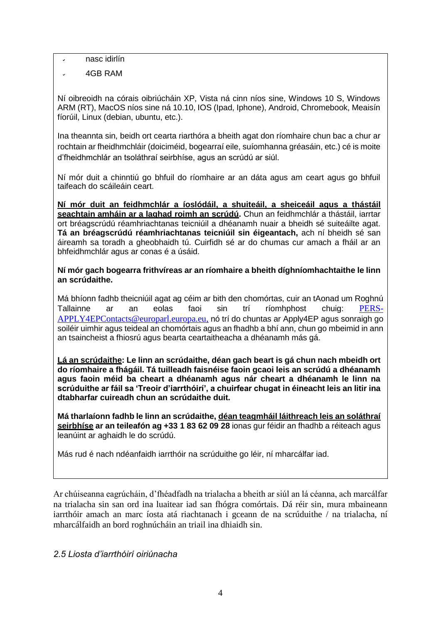nasc idirlín

4GB RAM

Ní oibreoidh na córais oibriúcháin XP, Vista ná cinn níos sine, Windows 10 S, Windows ARM (RT), MacOS níos sine ná 10.10, IOS (Ipad, Iphone), Android, Chromebook, Meaisín fíorúil, Linux (debian, ubuntu, etc.).

Ina theannta sin, beidh ort cearta riarthóra a bheith agat don ríomhaire chun bac a chur ar rochtain ar fheidhmchláir (doiciméid, bogearraí eile, suíomhanna gréasáin, etc.) cé is moite d'fheidhmchlár an tsoláthraí seirbhíse, agus an scrúdú ar siúl.

Ní mór duit a chinntiú go bhfuil do ríomhaire ar an dáta agus am ceart agus go bhfuil taifeach do scáileáin ceart.

**Ní mór duit an feidhmchlár a íoslódáil, a shuiteáil, a sheiceáil agus a thástáil seachtain amháin ar a laghad roimh an scrúdú.** Chun an feidhmchlár a thástáil, iarrtar ort bréagscrúdú réamhriachtanas teicniúil a dhéanamh nuair a bheidh sé suiteáilte agat. **Tá an bréagscrúdú réamhriachtanas teicniúil sin éigeantach,** ach ní bheidh sé san áireamh sa toradh a gheobhaidh tú. Cuirfidh sé ar do chumas cur amach a fháil ar an bhfeidhmchlár agus ar conas é a úsáid.

#### **Ní mór gach bogearra frithvíreas ar an ríomhaire a bheith díghníomhachtaithe le linn an scrúdaithe.**

Má bhíonn fadhb theicniúil agat ag céim ar bith den chomórtas, cuir an tAonad um Roghnú Tallainne ar an eolas faoi sin trí ríomhphost chuig: [PERS-](mailto:PERS-APPLY4EPContacts@europarl.europa.eu)[APPLY4EPContacts@europarl.europa.eu,](mailto:PERS-APPLY4EPContacts@europarl.europa.eu) nó trí do chuntas ar Apply4EP agus sonraigh go soiléir uimhir agus teideal an chomórtais agus an fhadhb a bhí ann, chun go mbeimid in ann an tsaincheist a fhiosrú agus bearta ceartaitheacha a dhéanamh más gá.

**Lá an scrúdaithe: Le linn an scrúdaithe, déan gach beart is gá chun nach mbeidh ort do ríomhaire a fhágáil. Tá tuilleadh faisnéise faoin gcaoi leis an scrúdú a dhéanamh agus faoin méid ba cheart a dhéanamh agus nár cheart a dhéanamh le linn na scrúduithe ar fáil sa 'Treoir d'iarrthóirí', a chuirfear chugat in éineacht leis an litir ina dtabharfar cuireadh chun an scrúdaithe duit.**

**Má tharlaíonn fadhb le linn an scrúdaithe, déan teagmháil láithreach leis an soláthraí seirbhíse ar an teileafón ag +33 1 83 62 09 28** ionas gur féidir an fhadhb a réiteach agus leanúint ar aghaidh le do scrúdú.

Más rud é nach ndéanfaidh iarrthóir na scrúduithe go léir, ní mharcálfar iad.

Ar chúiseanna eagrúcháin, d'fhéadfadh na trialacha a bheith ar siúl an lá céanna, ach marcálfar na trialacha sin san ord ina luaitear iad san fhógra comórtais. Dá réir sin, mura mbaineann iarrthóir amach an marc íosta atá riachtanach i gceann de na scrúduithe / na trialacha, ní mharcálfaidh an bord roghnúcháin an triail ina dhiaidh sin.

### *2.5 Liosta d'iarrthóirí oiriúnacha*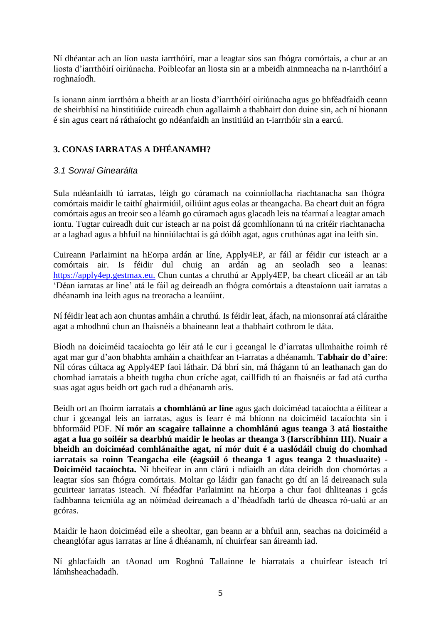Ní dhéantar ach an líon uasta iarrthóirí, mar a leagtar síos san fhógra comórtais, a chur ar an liosta d'iarrthóirí oiriúnacha. Poibleofar an liosta sin ar a mbeidh ainmneacha na n-iarrthóirí a roghnaíodh.

Is ionann ainm iarrthóra a bheith ar an liosta d'iarrthóirí oiriúnacha agus go bhféadfaidh ceann de sheirbhísí na hinstitiúide cuireadh chun agallaimh a thabhairt don duine sin, ach ní hionann é sin agus ceart ná ráthaíocht go ndéanfaidh an institiúid an t-iarrthóir sin a earcú.

### **3. CONAS IARRATAS A DHÉANAMH?**

### *3.1 Sonraí Ginearálta*

Sula ndéanfaidh tú iarratas, léigh go cúramach na coinníollacha riachtanacha san fhógra comórtais maidir le taithí ghairmiúil, oiliúint agus eolas ar theangacha. Ba cheart duit an fógra comórtais agus an treoir seo a léamh go cúramach agus glacadh leis na téarmaí a leagtar amach iontu. Tugtar cuireadh duit cur isteach ar na poist dá gcomhlíonann tú na critéir riachtanacha ar a laghad agus a bhfuil na hinniúlachtaí is gá dóibh agat, agus cruthúnas agat ina leith sin.

Cuireann Parlaimint na hEorpa ardán ar líne, Apply4EP, ar fáil ar féidir cur isteach ar a comórtais air. Is féidir dul chuig an ardán ag an seoladh seo a leanas: [https://apply4ep.gestmax.eu.](https://apply4ep.gestmax.eu/) Chun cuntas a chruthú ar Apply4EP, ba cheart cliceáil ar an táb 'Déan iarratas ar líne' atá le fáil ag deireadh an fhógra comórtais a dteastaíonn uait iarratas a dhéanamh ina leith agus na treoracha a leanúint.

Ní féidir leat ach aon chuntas amháin a chruthú. Is féidir leat, áfach, na mionsonraí atá cláraithe agat a mhodhnú chun an fhaisnéis a bhaineann leat a thabhairt cothrom le dáta.

Bíodh na doiciméid tacaíochta go léir atá le cur i gceangal le d'iarratas ullmhaithe roimh ré agat mar gur d'aon bhabhta amháin a chaithfear an t-iarratas a dhéanamh. **Tabhair do d'aire**: Níl córas cúltaca ag Apply4EP faoi láthair. Dá bhrí sin, má fhágann tú an leathanach gan do chomhad iarratais a bheith tugtha chun críche agat, caillfidh tú an fhaisnéis ar fad atá curtha suas agat agus beidh ort gach rud a dhéanamh arís.

Beidh ort an fhoirm iarratais **a chomhlánú ar líne** agus gach doiciméad tacaíochta a éilítear a chur i gceangal leis an iarratas, agus is fearr é má bhíonn na doiciméid tacaíochta sin i bhformáid PDF. **Ní mór an scagaire tallainne a chomhlánú agus teanga 3 atá liostaithe agat a lua go soiléir sa dearbhú maidir le heolas ar theanga 3 (Iarscríbhinn III). Nuair a bheidh an doiciméad comhlánaithe agat, ní mór duit é a uaslódáil chuig do chomhad iarratais sa roinn Teangacha eile (éagsúil ó theanga 1 agus teanga 2 thuasluaite) - Doiciméid tacaíochta.** Ní bheifear in ann clárú i ndiaidh an dáta deiridh don chomórtas a leagtar síos san fhógra comórtais. Moltar go láidir gan fanacht go dtí an lá deireanach sula gcuirtear iarratas isteach. Ní fhéadfar Parlaimint na hEorpa a chur faoi dhliteanas i gcás fadhbanna teicniúla ag an nóiméad deireanach a d'fhéadfadh tarlú de dheasca ró-ualú ar an gcóras.

Maidir le haon doiciméad eile a sheoltar, gan beann ar a bhfuil ann, seachas na doiciméid a cheanglófar agus iarratas ar líne á dhéanamh, ní chuirfear san áireamh iad.

Ní ghlacfaidh an tAonad um Roghnú Tallainne le hiarratais a chuirfear isteach trí lámhsheachadadh.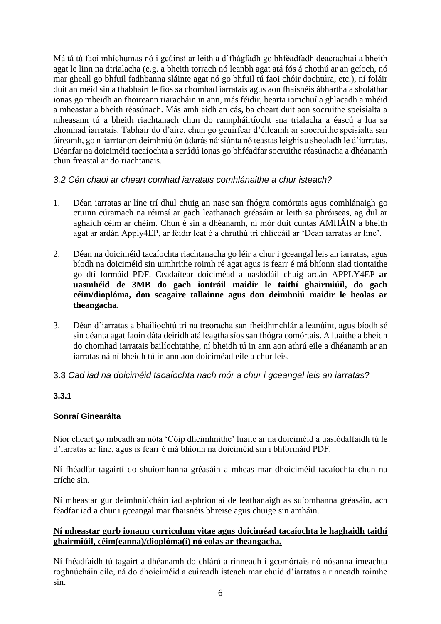Má tá tú faoi mhíchumas nó i gcúinsí ar leith a d'fhágfadh go bhféadfadh deacrachtaí a bheith agat le linn na dtrialacha (e.g. a bheith torrach nó leanbh agat atá fós á chothú ar an gcíoch, nó mar gheall go bhfuil fadhbanna sláinte agat nó go bhfuil tú faoi chóir dochtúra, etc.), ní foláir duit an méid sin a thabhairt le fios sa chomhad iarratais agus aon fhaisnéis ábhartha a sholáthar ionas go mbeidh an fhoireann riaracháin in ann, más féidir, bearta iomchuí a ghlacadh a mhéid a mheastar a bheith réasúnach. Más amhlaidh an cás, ba cheart duit aon socruithe speisialta a mheasann tú a bheith riachtanach chun do rannpháirtíocht sna trialacha a éascú a lua sa chomhad iarratais. Tabhair do d'aire, chun go gcuirfear d'éileamh ar shocruithe speisialta san áireamh, go n-iarrtar ort deimhniú ón údarás náisiúnta nó teastas leighis a sheoladh le d'iarratas. Déanfar na doiciméid tacaíochta a scrúdú ionas go bhféadfar socruithe réasúnacha a dhéanamh chun freastal ar do riachtanais.

### *3.2 Cén chaoi ar cheart comhad iarratais comhlánaithe a chur isteach?*

- 1. Déan iarratas ar líne trí dhul chuig an nasc san fhógra comórtais agus comhlánaigh go cruinn cúramach na réimsí ar gach leathanach gréasáin ar leith sa phróiseas, ag dul ar aghaidh céim ar chéim. Chun é sin a dhéanamh, ní mór duit cuntas AMHÁIN a bheith agat ar ardán Apply4EP, ar féidir leat é a chruthú trí chliceáil ar 'Déan iarratas ar líne'.
- 2. Déan na doiciméid tacaíochta riachtanacha go léir a chur i gceangal leis an iarratas, agus bíodh na doiciméid sin uimhrithe roimh ré agat agus is fearr é má bhíonn siad tiontaithe go dtí formáid PDF. Ceadaítear doiciméad a uaslódáil chuig ardán APPLY4EP **ar uasmhéid de 3MB do gach iontráil maidir le taithí ghairmiúil, do gach céim/dioplóma, don scagaire tallainne agus don deimhniú maidir le heolas ar theangacha.**
- 3. Déan d'iarratas a bhailíochtú trí na treoracha san fheidhmchlár a leanúint, agus bíodh sé sin déanta agat faoin dáta deiridh atá leagtha síos san fhógra comórtais. A luaithe a bheidh do chomhad iarratais bailíochtaithe, ní bheidh tú in ann aon athrú eile a dhéanamh ar an iarratas ná ní bheidh tú in ann aon doiciméad eile a chur leis.

### 3.3 *Cad iad na doiciméid tacaíochta nach mór a chur i gceangal leis an iarratas?*

### **3.3.1**

### **Sonraí Ginearálta**

Níor cheart go mbeadh an nóta 'Cóip dheimhnithe' luaite ar na doiciméid a uaslódálfaidh tú le d'iarratas ar líne, agus is fearr é má bhíonn na doiciméid sin i bhformáid PDF.

Ní fhéadfar tagairtí do shuíomhanna gréasáin a mheas mar dhoiciméid tacaíochta chun na críche sin.

Ní mheastar gur deimhniúcháin iad asphriontaí de leathanaigh as suíomhanna gréasáin, ach féadfar iad a chur i gceangal mar fhaisnéis bhreise agus chuige sin amháin.

### **Ní mheastar gurb ionann curriculum vitae agus doiciméad tacaíochta le haghaidh taithí ghairmiúil, céim(eanna)/dioplóma(í) nó eolas ar theangacha.**

Ní fhéadfaidh tú tagairt a dhéanamh do chlárú a rinneadh i gcomórtais nó nósanna imeachta roghnúcháin eile, ná do dhoiciméid a cuireadh isteach mar chuid d'iarratas a rinneadh roimhe sin.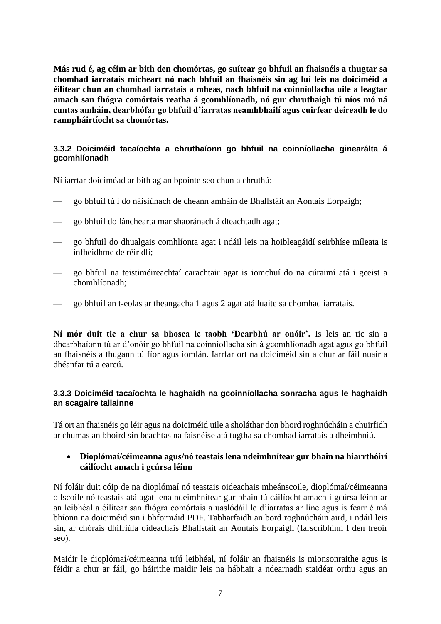**Más rud é, ag céim ar bith den chomórtas, go suítear go bhfuil an fhaisnéis a thugtar sa chomhad iarratais mícheart nó nach bhfuil an fhaisnéis sin ag luí leis na doiciméid a éilítear chun an chomhad iarratais a mheas, nach bhfuil na coinníollacha uile a leagtar amach san fhógra comórtais reatha á gcomhlíonadh, nó gur chruthaigh tú níos mó ná cuntas amháin, dearbhófar go bhfuil d'iarratas neamhbhailí agus cuirfear deireadh le do rannpháirtíocht sa chomórtas.**

### **3.3.2 Doiciméid tacaíochta a chruthaíonn go bhfuil na coinníollacha ginearálta á gcomhlíonadh**

Ní iarrtar doiciméad ar bith ag an bpointe seo chun a chruthú:

- go bhfuil tú i do náisiúnach de cheann amháin de Bhallstáit an Aontais Eorpaigh;
- go bhfuil do lánchearta mar shaoránach á dteachtadh agat;
- go bhfuil do dhualgais comhlíonta agat i ndáil leis na hoibleagáidí seirbhíse míleata is infheidhme de réir dlí;
- go bhfuil na teistiméireachtaí carachtair agat is iomchuí do na cúraimí atá i gceist a chomhlíonadh;
- go bhfuil an t-eolas ar theangacha 1 agus 2 agat atá luaite sa chomhad iarratais.

**Ní mór duit tic a chur sa bhosca le taobh 'Dearbhú ar onóir'.** Is leis an tic sin a dhearbhaíonn tú ar d'onóir go bhfuil na coinníollacha sin á gcomhlíonadh agat agus go bhfuil an fhaisnéis a thugann tú fíor agus iomlán. Iarrfar ort na doiciméid sin a chur ar fáil nuair a dhéanfar tú a earcú.

#### **3.3.3 Doiciméid tacaíochta le haghaidh na gcoinníollacha sonracha agus le haghaidh an scagaire tallainne**

Tá ort an fhaisnéis go léir agus na doiciméid uile a sholáthar don bhord roghnúcháin a chuirfidh ar chumas an bhoird sin beachtas na faisnéise atá tugtha sa chomhad iarratais a dheimhniú.

#### **Dioplómaí/céimeanna agus/nó teastais lena ndeimhnítear gur bhain na hiarrthóirí cáilíocht amach i gcúrsa léinn**

Ní foláir duit cóip de na dioplómaí nó teastais oideachais mheánscoile, dioplómaí/céimeanna ollscoile nó teastais atá agat lena ndeimhnítear gur bhain tú cáilíocht amach i gcúrsa léinn ar an leibhéal a éilítear san fhógra comórtais a uaslódáil le d'iarratas ar líne agus is fearr é má bhíonn na doiciméid sin i bhformáid PDF. Tabharfaidh an bord roghnúcháin aird, i ndáil leis sin, ar chórais dhifriúla oideachais Bhallstáit an Aontais Eorpaigh (Iarscríbhinn I den treoir seo).

Maidir le dioplómaí/céimeanna tríú leibhéal, ní foláir an fhaisnéis is mionsonraithe agus is féidir a chur ar fáil, go háirithe maidir leis na hábhair a ndearnadh staidéar orthu agus an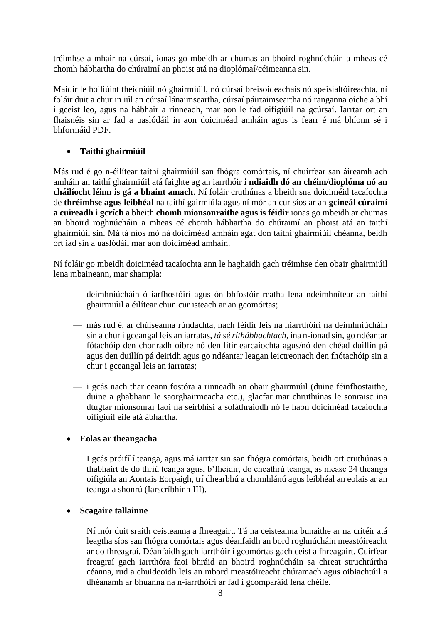tréimhse a mhair na cúrsaí, ionas go mbeidh ar chumas an bhoird roghnúcháin a mheas cé chomh hábhartha do chúraimí an phoist atá na dioplómaí/céimeanna sin.

Maidir le hoiliúint theicniúil nó ghairmiúil, nó cúrsaí breisoideachais nó speisialtóireachta, ní foláir duit a chur in iúl an cúrsaí lánaimseartha, cúrsaí páirtaimseartha nó ranganna oíche a bhí i gceist leo, agus na hábhair a rinneadh, mar aon le fad oifigiúil na gcúrsaí. Iarrtar ort an fhaisnéis sin ar fad a uaslódáil in aon doiciméad amháin agus is fearr é má bhíonn sé i bhformáid PDF.

### **Taithí ghairmiúil**

Más rud é go n-éilítear taithí ghairmiúil san fhógra comórtais, ní chuirfear san áireamh ach amháin an taithí ghairmiúil atá faighte ag an iarrthóir **i ndiaidh dó an chéim/dioplóma nó an cháilíocht léinn is gá a bhaint amach**. Ní foláir cruthúnas a bheith sna doiciméid tacaíochta de **thréimhse agus leibhéal** na taithí gairmiúla agus ní mór an cur síos ar an **gcineál cúraimí a cuireadh i gcrích** a bheith **chomh mionsonraithe agus is féidir** ionas go mbeidh ar chumas an bhoird roghnúcháin a mheas cé chomh hábhartha do chúraimí an phoist atá an taithí ghairmiúil sin. Má tá níos mó ná doiciméad amháin agat don taithí ghairmiúil chéanna, beidh ort iad sin a uaslódáil mar aon doiciméad amháin.

Ní foláir go mbeidh doiciméad tacaíochta ann le haghaidh gach tréimhse den obair ghairmiúil lena mbaineann, mar shampla:

- deimhniúcháin ó iarfhostóirí agus ón bhfostóir reatha lena ndeimhnítear an taithí ghairmiúil a éilítear chun cur isteach ar an gcomórtas;
- más rud é, ar chúiseanna rúndachta, nach féidir leis na hiarrthóirí na deimhniúcháin sin a chur i gceangal leis an iarratas, *tá sé ríthábhachtach*, ina n-ionad sin, go ndéantar fótachóip den chonradh oibre nó den litir earcaíochta agus/nó den chéad duillín pá agus den duillín pá deiridh agus go ndéantar leagan leictreonach den fhótachóip sin a chur i gceangal leis an iarratas;
- $-$  i gcás nach thar ceann fostóra a rinneadh an obair ghairmiúil (duine féinfhostaithe, duine a ghabhann le saorghairmeacha etc.), glacfar mar chruthúnas le sonraisc ina dtugtar mionsonraí faoi na seirbhísí a soláthraíodh nó le haon doiciméad tacaíochta oifigiúil eile atá ábhartha.

### **Eolas ar theangacha**

I gcás próifílí teanga, agus má iarrtar sin san fhógra comórtais, beidh ort cruthúnas a thabhairt de do thríú teanga agus, b'fhéidir, do cheathrú teanga, as measc 24 theanga oifigiúla an Aontais Eorpaigh, trí dhearbhú a chomhlánú agus leibhéal an eolais ar an teanga a shonrú (Iarscríbhinn III).

### **Scagaire tallainne**

Ní mór duit sraith ceisteanna a fhreagairt. Tá na ceisteanna bunaithe ar na critéir atá leagtha síos san fhógra comórtais agus déanfaidh an bord roghnúcháin meastóireacht ar do fhreagraí. Déanfaidh gach iarrthóir i gcomórtas gach ceist a fhreagairt. Cuirfear freagraí gach iarrthóra faoi bhráid an bhoird roghnúcháin sa chreat struchtúrtha céanna, rud a chuideoidh leis an mbord meastóireacht chúramach agus oibiachtúil a dhéanamh ar bhuanna na n-iarrthóirí ar fad i gcomparáid lena chéile.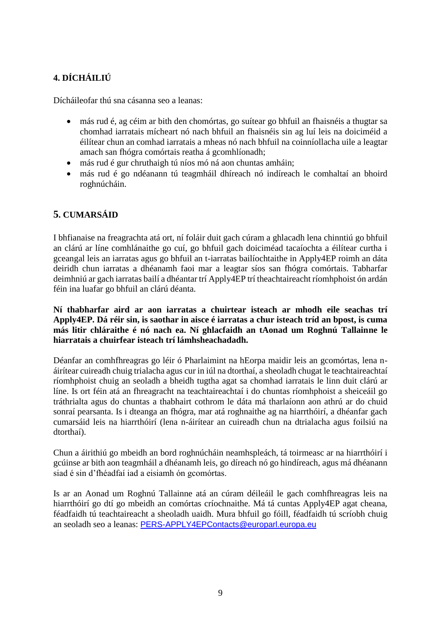### **4. DÍCHÁILIÚ**

Dícháileofar thú sna cásanna seo a leanas:

- más rud é, ag céim ar bith den chomórtas, go suítear go bhfuil an fhaisnéis a thugtar sa chomhad iarratais mícheart nó nach bhfuil an fhaisnéis sin ag luí leis na doiciméid a éilítear chun an comhad iarratais a mheas nó nach bhfuil na coinníollacha uile a leagtar amach san fhógra comórtais reatha á gcomhlíonadh;
- más rud é gur chruthaigh tú níos mó ná aon chuntas amháin;
- más rud é go ndéanann tú teagmháil dhíreach nó indíreach le comhaltaí an bhoird roghnúcháin.

### **5. CUMARSÁID**

I bhfianaise na freagrachta atá ort, ní foláir duit gach cúram a ghlacadh lena chinntiú go bhfuil an clárú ar líne comhlánaithe go cuí, go bhfuil gach doiciméad tacaíochta a éilítear curtha i gceangal leis an iarratas agus go bhfuil an t-iarratas bailíochtaithe in Apply4EP roimh an dáta deiridh chun iarratas a dhéanamh faoi mar a leagtar síos san fhógra comórtais. Tabharfar deimhniú ar gach iarratas bailí a dhéantar trí Apply4EP trí theachtaireacht ríomhphoist ón ardán féin ina luafar go bhfuil an clárú déanta.

**Ní thabharfar aird ar aon iarratas a chuirtear isteach ar mhodh eile seachas trí Apply4EP. Dá réir sin, is saothar in aisce é iarratas a chur isteach tríd an bpost, is cuma más litir chláraithe é nó nach ea. Ní ghlacfaidh an tAonad um Roghnú Tallainne le hiarratais a chuirfear isteach trí lámhsheachadadh.**

Déanfar an comhfhreagras go léir ó Pharlaimint na hEorpa maidir leis an gcomórtas, lena náirítear cuireadh chuig trialacha agus cur in iúl na dtorthaí, a sheoladh chugat le teachtaireachtaí ríomhphoist chuig an seoladh a bheidh tugtha agat sa chomhad iarratais le linn duit clárú ar líne. Is ort féin atá an fhreagracht na teachtaireachtaí i do chuntas ríomhphoist a sheiceáil go tráthrialta agus do chuntas a thabhairt cothrom le dáta má tharlaíonn aon athrú ar do chuid sonraí pearsanta. Is i dteanga an fhógra, mar atá roghnaithe ag na hiarrthóirí, a dhéanfar gach cumarsáid leis na hiarrthóirí (lena n-áirítear an cuireadh chun na dtrialacha agus foilsiú na dtorthaí).

Chun a áirithiú go mbeidh an bord roghnúcháin neamhspleách, tá toirmeasc ar na hiarrthóirí i gcúinse ar bith aon teagmháil a dhéanamh leis, go díreach nó go hindíreach, agus má dhéanann siad é sin d'fhéadfaí iad a eisiamh ón gcomórtas.

Is ar an Aonad um Roghnú Tallainne atá an cúram déileáil le gach comhfhreagras leis na hiarrthóirí go dtí go mbeidh an comórtas críochnaithe. Má tá cuntas Apply4EP agat cheana, féadfaidh tú teachtaireacht a sheoladh uaidh. Mura bhfuil go fóill, féadfaidh tú scríobh chuig an seoladh seo a leanas: [PERS-APPLY4EPContacts@europarl.europa.eu](mailto:PERS-APPLY4EPContacts@europarl.europa.eu)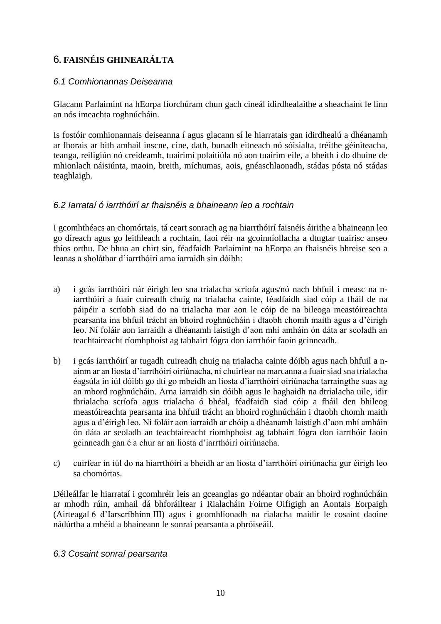### 6**. FAISNÉIS GHINEARÁLTA**

### *6.1 Comhionannas Deiseanna*

Glacann Parlaimint na hEorpa fíorchúram chun gach cineál idirdhealaithe a sheachaint le linn an nós imeachta roghnúcháin.

Is fostóir comhionannais deiseanna í agus glacann sí le hiarratais gan idirdhealú a dhéanamh ar fhorais ar bith amhail inscne, cine, dath, bunadh eitneach nó sóisialta, tréithe géiniteacha, teanga, reiligiún nó creideamh, tuairimí polaitiúla nó aon tuairim eile, a bheith i do dhuine de mhionlach náisiúnta, maoin, breith, míchumas, aois, gnéaschlaonadh, stádas pósta nó stádas teaghlaigh.

### *6.2 Iarrataí ó iarrthóirí ar fhaisnéis a bhaineann leo a rochtain*

I gcomhthéacs an chomórtais, tá ceart sonrach ag na hiarrthóirí faisnéis áirithe a bhaineann leo go díreach agus go leithleach a rochtain, faoi réir na gcoinníollacha a dtugtar tuairisc anseo thíos orthu. De bhua an chirt sin, féadfaidh Parlaimint na hEorpa an fhaisnéis bhreise seo a leanas a sholáthar d'iarrthóirí arna iarraidh sin dóibh:

- a) i gcás iarrthóirí nár éirigh leo sna trialacha scríofa agus/nó nach bhfuil i measc na niarrthóirí a fuair cuireadh chuig na trialacha cainte, féadfaidh siad cóip a fháil de na páipéir a scríobh siad do na trialacha mar aon le cóip de na bileoga meastóireachta pearsanta ina bhfuil trácht an bhoird roghnúcháin i dtaobh chomh maith agus a d'éirigh leo. Ní foláir aon iarraidh a dhéanamh laistigh d'aon mhí amháin ón dáta ar seoladh an teachtaireacht ríomhphoist ag tabhairt fógra don iarrthóir faoin gcinneadh.
- b) i gcás iarrthóirí ar tugadh cuireadh chuig na trialacha cainte dóibh agus nach bhfuil a nainm ar an liosta d'iarrthóirí oiriúnacha, ní chuirfear na marcanna a fuair siad sna trialacha éagsúla in iúl dóibh go dtí go mbeidh an liosta d'iarrthóirí oiriúnacha tarraingthe suas ag an mbord roghnúcháin. Arna iarraidh sin dóibh agus le haghaidh na dtrialacha uile, idir thrialacha scríofa agus trialacha ó bhéal, féadfaidh siad cóip a fháil den bhileog meastóireachta pearsanta ina bhfuil trácht an bhoird roghnúcháin i dtaobh chomh maith agus a d'éirigh leo. Ní foláir aon iarraidh ar chóip a dhéanamh laistigh d'aon mhí amháin ón dáta ar seoladh an teachtaireacht ríomhphoist ag tabhairt fógra don iarrthóir faoin gcinneadh gan é a chur ar an liosta d'iarrthóirí oiriúnacha.
- c) cuirfear in iúl do na hiarrthóirí a bheidh ar an liosta d'iarrthóirí oiriúnacha gur éirigh leo sa chomórtas.

Déileálfar le hiarrataí i gcomhréir leis an gceanglas go ndéantar obair an bhoird roghnúcháin ar mhodh rúin, amhail dá bhforáiltear i Rialacháin Foirne Oifigigh an Aontais Eorpaigh (Airteagal 6 d'Iarscríbhinn III) agus i gcomhlíonadh na rialacha maidir le cosaint daoine nádúrtha a mhéid a bhaineann le sonraí pearsanta a phróiseáil.

### *6.3 Cosaint sonraí pearsanta*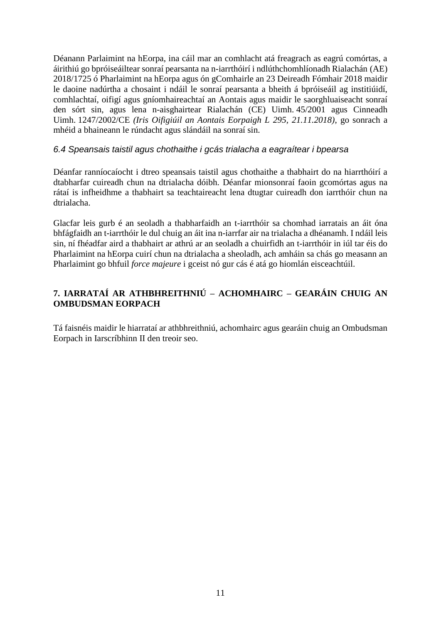Déanann Parlaimint na hEorpa, ina cáil mar an comhlacht atá freagrach as eagrú comórtas, a áirithiú go bpróiseáiltear sonraí pearsanta na n-iarrthóirí i ndlúthchomhlíonadh Rialachán (AE) 2018/1725 ó Pharlaimint na hEorpa agus ón gComhairle an 23 Deireadh Fómhair 2018 maidir le daoine nadúrtha a chosaint i ndáil le sonraí pearsanta a bheith á bpróiseáil ag institiúidí, comhlachtaí, oifigí agus gníomhaireachtaí an Aontais agus maidir le saorghluaiseacht sonraí den sórt sin, agus lena n-aisghairtear Rialachán (CE) Uimh. 45/2001 agus Cinneadh Uimh. 1247/2002/CE *(Iris Oifigiúil an Aontais Eorpaigh L 295, 21.11.2018)*, go sonrach a mhéid a bhaineann le rúndacht agus slándáil na sonraí sin.

#### *6.4 Speansais taistil agus chothaithe i gcás trialacha a eagraítear i bpearsa*

Déanfar ranníocaíocht i dtreo speansais taistil agus chothaithe a thabhairt do na hiarrthóirí a dtabharfar cuireadh chun na dtrialacha dóibh. Déanfar mionsonraí faoin gcomórtas agus na rátaí is infheidhme a thabhairt sa teachtaireacht lena dtugtar cuireadh don iarrthóir chun na dtrialacha.

Glacfar leis gurb é an seoladh a thabharfaidh an t-iarrthóir sa chomhad iarratais an áit óna bhfágfaidh an t-iarrthóir le dul chuig an áit ina n-iarrfar air na trialacha a dhéanamh. I ndáil leis sin, ní fhéadfar aird a thabhairt ar athrú ar an seoladh a chuirfidh an t-iarrthóir in iúl tar éis do Pharlaimint na hEorpa cuirí chun na dtrialacha a sheoladh, ach amháin sa chás go measann an Pharlaimint go bhfuil *force majeure* i gceist nó gur cás é atá go hiomlán eisceachtúil.

### **7. IARRATAÍ AR ATHBHREITHNIÚ – ACHOMHAIRC – GEARÁIN CHUIG AN OMBUDSMAN EORPACH**

Tá faisnéis maidir le hiarrataí ar athbhreithniú, achomhairc agus gearáin chuig an Ombudsman Eorpach in Iarscríbhinn II den treoir seo.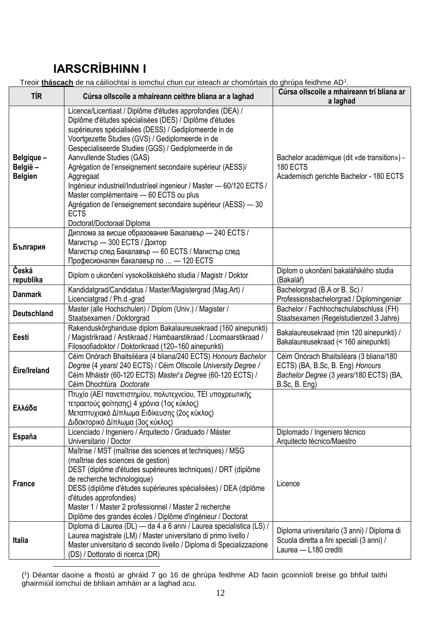# **IARSCRÍBHINN I**

Treoir **tháscach** de na cáilíochtaí is iomchuí chun cur isteach ar chomórtais do ghrúpa feidhme AD<sup>1</sup>  $\overline{1}$ 

| Treoir <b>thascach</b> de na cailíochtaí is iomchuí chun cur isteach ar chomortais do ghrupa feidhme AD <sup>T</sup> . |                                                                                                                                                                                                                                                                                                                                                                                                                                                                                                                                                                                                                                  |                                                                                                                                         |  |
|------------------------------------------------------------------------------------------------------------------------|----------------------------------------------------------------------------------------------------------------------------------------------------------------------------------------------------------------------------------------------------------------------------------------------------------------------------------------------------------------------------------------------------------------------------------------------------------------------------------------------------------------------------------------------------------------------------------------------------------------------------------|-----------------------------------------------------------------------------------------------------------------------------------------|--|
| <b>TÍR</b>                                                                                                             | Cúrsa ollscoile a mhaireann ceithre bliana ar a laghad                                                                                                                                                                                                                                                                                                                                                                                                                                                                                                                                                                           | Cúrsa ollscoile a mhaireann trí bliana ar<br>a laghad                                                                                   |  |
| Belgique -<br>België -<br><b>Belgien</b>                                                                               | Licence/Licentiaat / Diplôme d'études approfondies (DEA) /<br>Diplôme d'études spécialisées (DES) / Diplôme d'études<br>supérieures spécialisées (DESS) / Gediplomeerde in de<br>Voortgezette Studies (GVS) / Gediplomeerde in de<br>Gespecialiseerde Studies (GGS) / Gediplomeerde in de<br>Aanvullende Studies (GAS)<br>Agrégation de l'enseignement secondaire supérieur (AESS)/<br>Aggregaat<br>Ingénieur industriel/Industrieel ingenieur / Master - 60/120 ECTS /<br>Master complémentaire - 60 ECTS ou plus<br>Agrégation de l'enseignement secondaire supérieur (AESS) - 30<br><b>ECTS</b><br>Doctorat/Doctoraal Diploma | Bachelor académique (dit «de transition») -<br>180 ECTS<br>Academisch gerichte Bachelor - 180 ECTS                                      |  |
| България                                                                                                               | Диплома за висше образование Бакалавър - 240 ECTS /<br>Магистър - 300 ECTS / Доктор<br>Магистър след Бакалавър - 60 ECTS / Магистър след<br>Професионален бакалавър по  - 120 ECTS                                                                                                                                                                                                                                                                                                                                                                                                                                               |                                                                                                                                         |  |
| Česká<br>republika                                                                                                     | Diplom o ukončení vysokoškolského studia / Magistr / Doktor                                                                                                                                                                                                                                                                                                                                                                                                                                                                                                                                                                      | Diplom o ukončení bakalářského studia<br>(Bakalář)                                                                                      |  |
| <b>Danmark</b>                                                                                                         | Kandidatgrad/Candidatus / Master/Magistergrad (Mag.Art) /<br>Licenciatgrad / Ph.d.-grad                                                                                                                                                                                                                                                                                                                                                                                                                                                                                                                                          | Bachelorgrad (B.A or B. Sc) /<br>Professionsbachelorgrad / Diplomingeniør                                                               |  |
| <b>Deutschland</b>                                                                                                     | Master (alle Hochschulen) / Diplom (Univ.) / Magister /<br>Staatsexamen / Doktorgrad                                                                                                                                                                                                                                                                                                                                                                                                                                                                                                                                             | Bachelor / Fachhochschulabschluss (FH)<br>Staatsexamen (Regelstudienzeit 3 Jahre)                                                       |  |
| Eesti                                                                                                                  | Rakenduskõrghariduse diplom Bakalaureusekraad (160 ainepunkti)<br>/ Magistrikraad / Arstikraad / Hambaarstikraad / Loomaarstikraad /<br>Filosoofiadoktor / Doktorikraad (120-160 ainepunkti)                                                                                                                                                                                                                                                                                                                                                                                                                                     | Bakalaureusekraad (min 120 ainepunkti) /<br>Bakalaureusekraad (< 160 ainepunkti)                                                        |  |
| Éire/Ireland                                                                                                           | Céim Onórach Bhaitsiléara (4 bliana/240 ECTS) Honours Bachelor<br>Degree (4 years/ 240 ECTS) / Céim Ollscoile University Degree /<br>Céim Mháistir (60-120 ECTS) Master's Degree (60-120 ECTS) /<br>Céim Dhochtúra Doctorate                                                                                                                                                                                                                                                                                                                                                                                                     | Céim Onórach Bhaitsiléara (3 bliana/180<br>ECTS) (BA, B.Sc, B. Eng) Honours<br>Bachelor Degree (3 years/180 ECTS) (BA,<br>B.Sc, B. Eng) |  |
| Ελλάδα                                                                                                                 | Πτυχίο (ΑΕΙ πανεπιστημίου, πολυτεχνείου, ΤΕΙ υποχρεωτικής<br>τετραετούς φοίτησης) 4 χρόνια (1ος κύκλος)<br>Μεταπτυχιακό Δίπλωμα Ειδίκευσης (2ος κύκλος)<br>Διδακτορικό Δίπλωμα (3ος κύκλος)                                                                                                                                                                                                                                                                                                                                                                                                                                      |                                                                                                                                         |  |
| España                                                                                                                 | Licenciado / Ingeniero / Arquitecto / Graduado / Máster<br>Universitario / Doctor                                                                                                                                                                                                                                                                                                                                                                                                                                                                                                                                                | Diplomado / Ingeniero técnico<br>Arquitecto técnico/Maestro                                                                             |  |
| <b>France</b>                                                                                                          | Maîtrise / MST (maîtrise des sciences et techniques) / MSG<br>(maîtrise des sciences de gestion)<br>DEST (diplôme d'études supérieures techniques) / DRT (diplôme<br>de recherche technologique)<br>DESS (diplôme d'études supérieures spécialisées) / DEA (diplôme<br>d'études approfondies)<br>Master 1 / Master 2 professionnel / Master 2 recherche<br>Diplôme des grandes écoles / Diplôme d'ingénieur / Doctorat                                                                                                                                                                                                           | Licence                                                                                                                                 |  |
| <b>Italia</b>                                                                                                          | Diploma di Laurea (DL) — da 4 a 6 anni / Laurea specialistica (LS) /<br>Laurea magistrale (LM) / Master universitario di primo livello /<br>Master universitario di secondo livello / Diploma di Specializzazione<br>(DS) / Dottorato di ricerca (DR)                                                                                                                                                                                                                                                                                                                                                                            | Diploma universitario (3 anni) / Diploma di<br>Scuola diretta a fini speciali (3 anni) /<br>Laurea - L180 crediti                       |  |

<u>.</u> ( 1 ) Déantar daoine a fhostú ar ghráid 7 go 16 de ghrúpa feidhme AD faoin gcoinníoll breise go bhfuil taithí ghairmiúil iomchuí de bhliain amháin ar a laghad acu.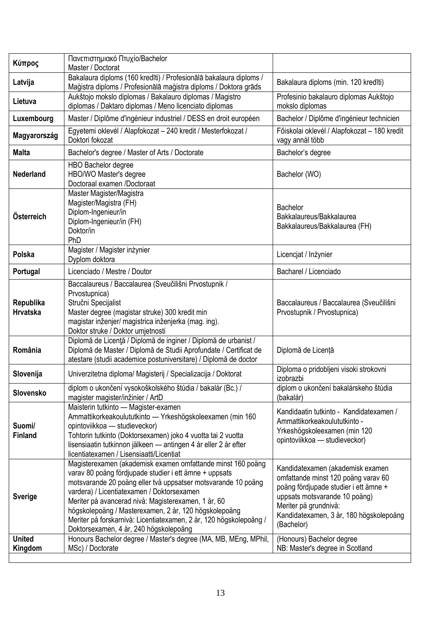| Κύπρος                       | Πανεπιστημιακό Πτυχίο/Bachelor<br>Master / Doctorat                                                                                                                                                                                                                                                                                                                                                                                                                  |                                                                                                                                                                                                                                     |
|------------------------------|----------------------------------------------------------------------------------------------------------------------------------------------------------------------------------------------------------------------------------------------------------------------------------------------------------------------------------------------------------------------------------------------------------------------------------------------------------------------|-------------------------------------------------------------------------------------------------------------------------------------------------------------------------------------------------------------------------------------|
| Latvija                      | Bakalaura diploms (160 kredīti) / Profesionālā bakalaura diploms /<br>Maģistra diploms / Profesionālā maģistra diploms / Doktora grāds                                                                                                                                                                                                                                                                                                                               | Bakalaura diploms (min. 120 kredīti)                                                                                                                                                                                                |
| Lietuva                      | Aukštojo mokslo diplomas / Bakalauro diplomas / Magistro<br>diplomas / Daktaro diplomas / Meno licenciato diplomas                                                                                                                                                                                                                                                                                                                                                   | Profesinio bakalauro diplomas Aukštojo<br>mokslo diplomas                                                                                                                                                                           |
| Luxembourg                   | Master / Diplôme d'ingénieur industriel / DESS en droit européen                                                                                                                                                                                                                                                                                                                                                                                                     | Bachelor / Diplôme d'ingénieur technicien                                                                                                                                                                                           |
| Magyarország                 | Egyetemi oklevél / Alapfokozat - 240 kredit / Mesterfokozat /<br>Doktori fokozat                                                                                                                                                                                                                                                                                                                                                                                     | Főiskolai oklevél / Alapfokozat - 180 kredit<br>vagy annál több                                                                                                                                                                     |
| <b>Malta</b>                 | Bachelor's degree / Master of Arts / Doctorate                                                                                                                                                                                                                                                                                                                                                                                                                       | Bachelor's degree                                                                                                                                                                                                                   |
| <b>Nederland</b>             | <b>HBO Bachelor degree</b><br>HBO/WO Master's degree<br>Doctoraal examen /Doctoraat                                                                                                                                                                                                                                                                                                                                                                                  | Bachelor (WO)                                                                                                                                                                                                                       |
| Österreich                   | Master Magister/Magistra<br>Magister/Magistra (FH)<br>Diplom-Ingenieur/in<br>Diplom-Ingenieur/in (FH)<br>Doktor/in<br>PhD                                                                                                                                                                                                                                                                                                                                            | Bachelor<br>Bakkalaureus/Bakkalaurea<br>Bakkalaureus/Bakkalaurea (FH)                                                                                                                                                               |
| Polska                       | Magister / Magister inżynier<br>Dyplom doktora                                                                                                                                                                                                                                                                                                                                                                                                                       | Licencjat / Inżynier                                                                                                                                                                                                                |
| Portugal                     | Licenciado / Mestre / Doutor                                                                                                                                                                                                                                                                                                                                                                                                                                         | Bacharel / Licenciado                                                                                                                                                                                                               |
| Republika<br><b>Hrvatska</b> | Baccalaureus / Baccalaurea (Sveučilišni Prvostupnik /<br>Prvostupnica)<br>Stručni Specijalist<br>Master degree (magistar struke) 300 kredit min<br>magistar inženjer/ magistrica inženjerka (mag. ing).<br>Doktor struke / Doktor umjetnosti                                                                                                                                                                                                                         | Baccalaureus / Baccalaurea (Sveučilišni<br>Prvostupnik / Prvostupnica)                                                                                                                                                              |
| România                      | Diplomă de Licență / Diplomă de inginer / Diplomă de urbanist /<br>Diplomă de Master / Diplomă de Studii Aprofundate / Certificat de<br>atestare (studii academice postuniversitare) / Diplomă de doctor                                                                                                                                                                                                                                                             | Diplomă de Licență                                                                                                                                                                                                                  |
| Slovenija                    | Univerzitetna diploma/ Magisterij / Specializacija / Doktorat                                                                                                                                                                                                                                                                                                                                                                                                        | Diploma o pridobljeni visoki strokovni<br>izobrazbi                                                                                                                                                                                 |
| Slovensko                    | diplom o ukončení vysokoškolského štúdia / bakalár (Bc.) /<br>magister magister/inžinier / ArtD                                                                                                                                                                                                                                                                                                                                                                      | diplom o ukončení bakalárskeho štúdia<br>(bakalár)                                                                                                                                                                                  |
| Suomi/<br><b>Finland</b>     | Maisterin tutkinto - Magister-examen<br>Ammattikorkeakoulututkinto - Yrkeshögskoleexamen (min 160<br>opintoviikkoa - studieveckor)<br>Tohtorin tutkinto (Doktorsexamen) joko 4 vuotta tai 2 vuotta<br>lisensiaatin tutkinnon jälkeen — antingen 4 år eller 2 år efter<br>licentiatexamen / Lisensiaatti/Licentiat                                                                                                                                                    | Kandidaatin tutkinto - Kandidatexamen /<br>Ammattikorkeakoulututkinto -<br>Yrkeshögskoleexamen (min 120<br>opintoviikkoa — studieveckor)                                                                                            |
| <b>Sverige</b>               | Magisterexamen (akademisk examen omfattande minst 160 poäng<br>varav 80 poäng fördjupade studier i ett ämne + uppsats<br>motsvarande 20 poäng eller två uppsatser motsvarande 10 poäng<br>vardera) / Licentiatexamen / Doktorsexamen<br>Meriter på avancerad nivå: Magisterexamen, 1 år, 60<br>högskolepoäng / Masterexamen, 2 år, 120 högskolepoäng<br>Meriter på forskarnivå: Licentiatexamen, 2 år, 120 högskolepoäng /<br>Doktorsexamen, 4 år, 240 högskolepoäng | Kandidatexamen (akademisk examen<br>omfattande minst 120 poäng varav 60<br>poäng fördjupade studier i ett ämne +<br>uppsats motsvarande 10 poäng)<br>Meriter på grundnivå:<br>Kandidatexamen, 3 år, 180 högskolepoäng<br>(Bachelor) |
| <b>United</b><br>Kingdom     | Honours Bachelor degree / Master's degree (MA, MB, MEng, MPhil,<br>MSc) / Doctorate                                                                                                                                                                                                                                                                                                                                                                                  | (Honours) Bachelor degree<br>NB: Master's degree in Scotland                                                                                                                                                                        |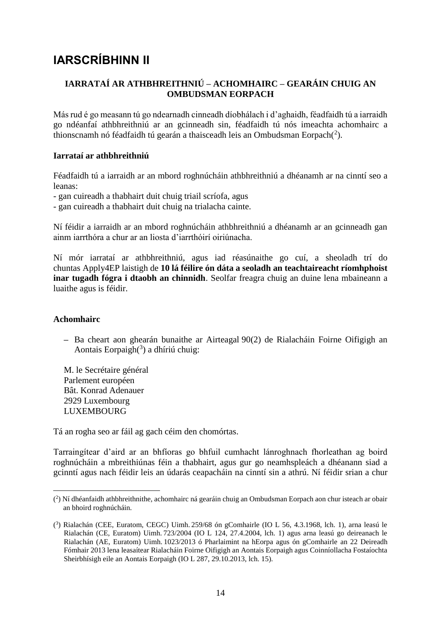## **IARSCRÍBHINN II**

### **IARRATAÍ AR ATHBHREITHNIÚ – ACHOMHAIRC – GEARÁIN CHUIG AN OMBUDSMAN EORPACH**

Más rud é go measann tú go ndearnadh cinneadh díobhálach i d'aghaidh, féadfaidh tú a iarraidh go ndéanfaí athbhreithniú ar an gcinneadh sin, féadfaidh tú nós imeachta achomhairc a thionscnamh nó féadfaidh tú gearán a thaisceadh leis an Ombudsman Eorpach $(2)$ .

#### **Iarrataí ar athbhreithniú**

Féadfaidh tú a iarraidh ar an mbord roghnúcháin athbhreithniú a dhéanamh ar na cinntí seo a leanas:

- gan cuireadh a thabhairt duit chuig triail scríofa, agus
- gan cuireadh a thabhairt duit chuig na trialacha cainte.

Ní féidir a iarraidh ar an mbord roghnúcháin athbhreithniú a dhéanamh ar an gcinneadh gan ainm iarrthóra a chur ar an liosta d'iarrthóirí oiriúnacha.

Ní mór iarrataí ar athbhreithniú, agus iad réasúnaithe go cuí, a sheoladh trí do chuntas Apply4EP laistigh de **10 lá féilire ón dáta a seoladh an teachtaireacht ríomhphoist inar tugadh fógra i dtaobh an chinnidh**. Seolfar freagra chuig an duine lena mbaineann a luaithe agus is féidir.

### **Achomhairc**

**–** Ba cheart aon ghearán bunaithe ar Airteagal 90(2) de Rialacháin Foirne Oifigigh an Aontais Eorpaigh $(3)$  a dhíriú chuig:

M. le Secrétaire général Parlement européen Bât. Konrad Adenauer 2929 Luxembourg LUXEMBOURG

Tá an rogha seo ar fáil ag gach céim den chomórtas.

Tarraingítear d'aird ar an bhfíoras go bhfuil cumhacht lánroghnach fhorleathan ag boird roghnúcháin a mbreithiúnas féin a thabhairt, agus gur go neamhspleách a dhéanann siad a gcinntí agus nach féidir leis an údarás ceapacháin na cinntí sin a athrú. Ní féidir srian a chur

<sup>&</sup>lt;u>.</u> ( 2 ) Ní dhéanfaidh athbhreithnithe, achomhairc ná gearáin chuig an Ombudsman Eorpach aon chur isteach ar obair an bhoird roghnúcháin.

<sup>(</sup> 3 ) Rialachán (CEE, Euratom, CEGC) Uimh. 259/68 ón gComhairle (IO L 56, 4.3.1968, lch. 1), arna leasú le Rialachán (CE, Euratom) Uimh. 723/2004 (IO L 124, 27.4.2004, lch. 1) agus arna leasú go deireanach le Rialachán (AE, Euratom) Uimh. 1023/2013 ó Pharlaimint na hEorpa agus ón gComhairle an 22 Deireadh Fómhair 2013 lena leasaítear Rialacháin Foirne Oifigigh an Aontais Eorpaigh agus Coinníollacha Fostaíochta Sheirbhísigh eile an Aontais Eorpaigh (IO L 287, 29.10.2013, lch. 15).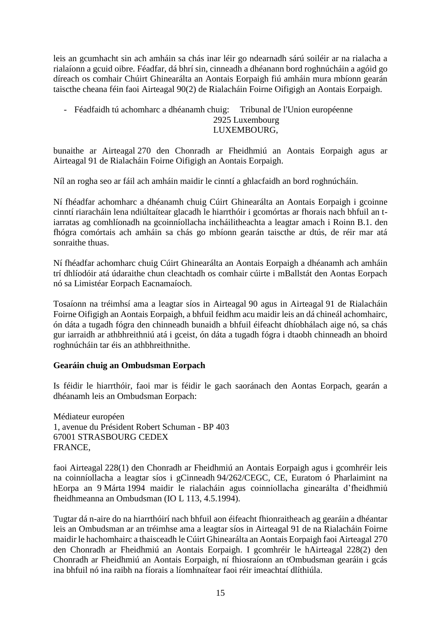leis an gcumhacht sin ach amháin sa chás inar léir go ndearnadh sárú soiléir ar na rialacha a rialaíonn a gcuid oibre. Féadfar, dá bhrí sin, cinneadh a dhéanann bord roghnúcháin a agóid go díreach os comhair Chúirt Ghinearálta an Aontais Eorpaigh fiú amháin mura mbíonn gearán taiscthe cheana féin faoi Airteagal 90(2) de Rialacháin Foirne Oifigigh an Aontais Eorpaigh.

#### - Féadfaidh tú achomharc a dhéanamh chuig: Tribunal de l'Union européenne 2925 Luxembourg LUXEMBOURG,

bunaithe ar Airteagal 270 den Chonradh ar Fheidhmiú an Aontais Eorpaigh agus ar Airteagal 91 de Rialacháin Foirne Oifigigh an Aontais Eorpaigh.

Níl an rogha seo ar fáil ach amháin maidir le cinntí a ghlacfaidh an bord roghnúcháin.

Ní fhéadfar achomharc a dhéanamh chuig Cúirt Ghinearálta an Aontais Eorpaigh i gcoinne cinntí riaracháin lena ndiúltaítear glacadh le hiarrthóir i gcomórtas ar fhorais nach bhfuil an tiarratas ag comhlíonadh na gcoinníollacha incháilitheachta a leagtar amach i Roinn B.1. den fhógra comórtais ach amháin sa chás go mbíonn gearán taiscthe ar dtús, de réir mar atá sonraithe thuas.

Ní fhéadfar achomharc chuig Cúirt Ghinearálta an Aontais Eorpaigh a dhéanamh ach amháin trí dhlíodóir atá údaraithe chun cleachtadh os comhair cúirte i mBallstát den Aontas Eorpach nó sa Limistéar Eorpach Eacnamaíoch.

Tosaíonn na tréimhsí ama a leagtar síos in Airteagal 90 agus in Airteagal 91 de Rialacháin Foirne Oifigigh an Aontais Eorpaigh, a bhfuil feidhm acu maidir leis an dá chineál achomhairc, ón dáta a tugadh fógra den chinneadh bunaidh a bhfuil éifeacht dhíobhálach aige nó, sa chás gur iarraidh ar athbhreithniú atá i gceist, ón dáta a tugadh fógra i dtaobh chinneadh an bhoird roghnúcháin tar éis an athbhreithnithe.

### **Gearáin chuig an Ombudsman Eorpach**

Is féidir le hiarrthóir, faoi mar is féidir le gach saoránach den Aontas Eorpach, gearán a dhéanamh leis an Ombudsman Eorpach:

Médiateur européen 1, avenue du Président Robert Schuman - BP 403 67001 STRASBOURG CEDEX FRANCE,

faoi Airteagal 228(1) den Chonradh ar Fheidhmiú an Aontais Eorpaigh agus i gcomhréir leis na coinníollacha a leagtar síos i gCinneadh 94/262/CEGC, CE, Euratom ó Pharlaimint na hEorpa an 9 Márta 1994 maidir le rialacháin agus coinníollacha ginearálta d'fheidhmiú fheidhmeanna an Ombudsman (IO L 113, 4.5.1994).

Tugtar dá n-aire do na hiarrthóirí nach bhfuil aon éifeacht fhionraitheach ag gearáin a dhéantar leis an Ombudsman ar an tréimhse ama a leagtar síos in Airteagal 91 de na Rialacháin Foirne maidir le hachomhairc a thaisceadh le Cúirt Ghinearálta an Aontais Eorpaigh faoi Airteagal 270 den Chonradh ar Fheidhmiú an Aontais Eorpaigh. I gcomhréir le hAirteagal 228(2) den Chonradh ar Fheidhmiú an Aontais Eorpaigh, ní fhiosraíonn an tOmbudsman gearáin i gcás ina bhfuil nó ina raibh na fíorais a líomhnaítear faoi réir imeachtaí dlíthiúla.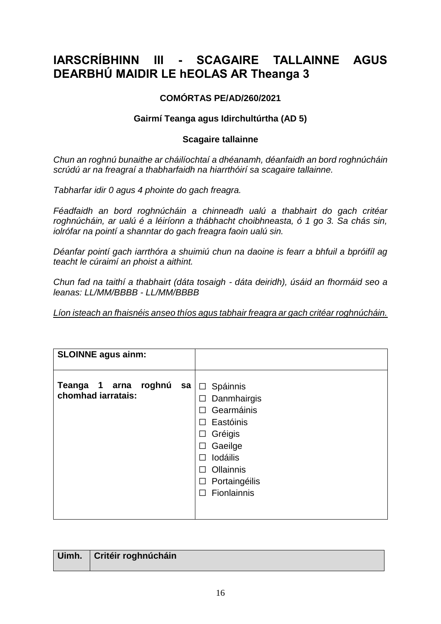## **IARSCRÍBHINN III - SCAGAIRE TALLAINNE AGUS DEARBHÚ MAIDIR LE hEOLAS AR Theanga 3**

### **COMÓRTAS PE/AD/260/2021**

### **Gairmí Teanga agus Idirchultúrtha (AD 5)**

### **Scagaire tallainne**

*Chun an roghnú bunaithe ar cháilíochtaí a dhéanamh, déanfaidh an bord roghnúcháin scrúdú ar na freagraí a thabharfaidh na hiarrthóirí sa scagaire tallainne.*

*Tabharfar idir 0 agus 4 phointe do gach freagra.*

*Féadfaidh an bord roghnúcháin a chinneadh ualú a thabhairt do gach critéar roghnúcháin, ar ualú é a léiríonn a thábhacht choibhneasta, ó 1 go 3. Sa chás sin, iolrófar na pointí a shanntar do gach freagra faoin ualú sin.*

*Déanfar pointí gach iarrthóra a shuimiú chun na daoine is fearr a bhfuil a bpróifíl ag teacht le cúraimí an phoist a aithint.*

*Chun fad na taithí a thabhairt (dáta tosaigh - dáta deiridh), úsáid an fhormáid seo a leanas: LL/MM/BBBB - LL/MM/BBBB*

*Líon isteach an fhaisnéis anseo thíos agus tabhair freagra ar gach critéar roghnúcháin.*

| <b>SLOINNE agus ainm:</b>                           |                                                                                                                                                                                                             |
|-----------------------------------------------------|-------------------------------------------------------------------------------------------------------------------------------------------------------------------------------------------------------------|
| roghnú<br>Teanga 1 arna<br>sa<br>chomhad jarratais: | Spáinnis<br>$\Box$<br>Danmhairgis<br>П<br>Gearmáinis<br>Eastóinis<br>П<br>Gréigis<br>ப<br>Gaeilge<br>⊔<br><b>lodáilis</b><br>$\mathsf{L}$<br>Ollainnis<br>Portaingéilis<br>$\mathsf{L}$<br>Fionlainnis<br>П |
|                                                     |                                                                                                                                                                                                             |

| Uimh.   Critéir roghnúcháin |
|-----------------------------|
|                             |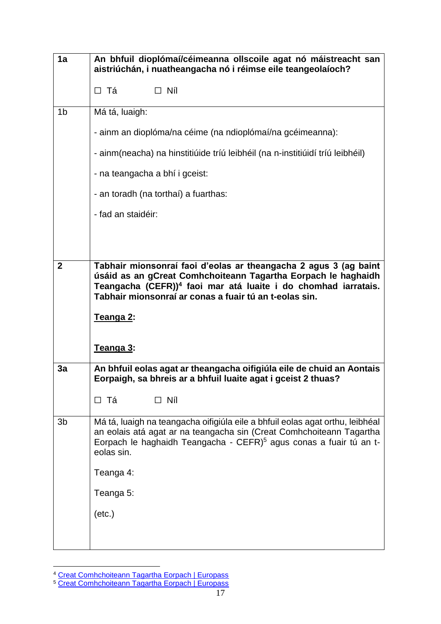| 1a             | An bhfuil dioplómaí/céimeanna ollscoile agat nó máistreacht san<br>aistriúchán, i nuatheangacha nó i réimse eile teangeolaíoch?                                                                                                                                           |  |
|----------------|---------------------------------------------------------------------------------------------------------------------------------------------------------------------------------------------------------------------------------------------------------------------------|--|
|                | $\Box$ Níl<br>□ Tá                                                                                                                                                                                                                                                        |  |
| 1 <sub>b</sub> | Má tá, luaigh:                                                                                                                                                                                                                                                            |  |
|                | - ainm an dioplóma/na céime (na ndioplómaí/na gcéimeanna):                                                                                                                                                                                                                |  |
|                | - ainm(neacha) na hinstitiúide tríú leibhéil (na n-institiúidí tríú leibhéil)                                                                                                                                                                                             |  |
|                | - na teangacha a bhí i gceist:                                                                                                                                                                                                                                            |  |
|                | - an toradh (na torthaí) a fuarthas:                                                                                                                                                                                                                                      |  |
|                | - fad an staidéir:                                                                                                                                                                                                                                                        |  |
|                |                                                                                                                                                                                                                                                                           |  |
|                |                                                                                                                                                                                                                                                                           |  |
| $\overline{2}$ | Tabhair mionsonraí faoi d'eolas ar theangacha 2 agus 3 (ag baint<br>úsáid as an gCreat Comhchoiteann Tagartha Eorpach le haghaidh<br>Teangacha (CEFR)) <sup>4</sup> faoi mar atá luaite i do chomhad iarratais.<br>Tabhair mionsonraí ar conas a fuair tú an t-eolas sin. |  |
|                | <u>Teanga 2:</u>                                                                                                                                                                                                                                                          |  |
|                | Teanga 3:                                                                                                                                                                                                                                                                 |  |
| 3a             | An bhfuil eolas agat ar theangacha oifigiúla eile de chuid an Aontais<br>Eorpaigh, sa bhreis ar a bhfuil luaite agat i gceist 2 thuas?                                                                                                                                    |  |
|                | $\Box$ Níl<br>□ Tá                                                                                                                                                                                                                                                        |  |
| 3b             | Má tá, luaigh na teangacha oifigiúla eile a bhfuil eolas agat orthu, leibhéal<br>an eolais atá agat ar na teangacha sin (Creat Comhchoiteann Tagartha<br>Eorpach le haghaidh Teangacha - CEFR) <sup>5</sup> agus conas a fuair tú an t-<br>eolas sin.                     |  |
|                | Teanga 4:                                                                                                                                                                                                                                                                 |  |
|                | Teanga 5:                                                                                                                                                                                                                                                                 |  |
|                | $(\text{etc.})$                                                                                                                                                                                                                                                           |  |
|                |                                                                                                                                                                                                                                                                           |  |

<sup>&</sup>lt;u>.</u> <sup>4</sup> [Creat Comhchoiteann Tagartha Eorpach | Europass](https://europa.eu/europass/fr/common-european-framework-reference)

<sup>&</sup>lt;sup>5</sup> [Creat Comhchoiteann Tagartha Eorpach | Europass](https://europa.eu/europass/fr/common-european-framework-reference)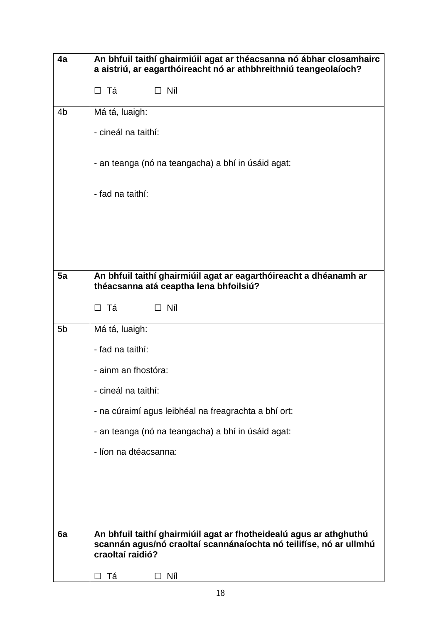| 4a             | An bhfuil taithí ghairmiúil agat ar théacsanna nó ábhar closamhairc<br>a aistriú, ar eagarthóireacht nó ar athbhreithniú teangeolaíoch?                      |  |  |
|----------------|--------------------------------------------------------------------------------------------------------------------------------------------------------------|--|--|
|                | $\Box$ Níl<br>□ Tá                                                                                                                                           |  |  |
| 4b             | Má tá, luaigh:                                                                                                                                               |  |  |
|                | - cineál na taithí:                                                                                                                                          |  |  |
|                | - an teanga (nó na teangacha) a bhí in úsáid agat:                                                                                                           |  |  |
|                | - fad na taithí:                                                                                                                                             |  |  |
|                |                                                                                                                                                              |  |  |
|                |                                                                                                                                                              |  |  |
|                |                                                                                                                                                              |  |  |
| 5a             | An bhfuil taithí ghairmiúil agat ar eagarthóireacht a dhéanamh ar<br>théacsanna atá ceaptha lena bhfoilsiú?                                                  |  |  |
|                | $\Box$ Níl<br>□ Tá                                                                                                                                           |  |  |
| 5 <sub>b</sub> | Má tá, luaigh:                                                                                                                                               |  |  |
|                | - fad na taithí:                                                                                                                                             |  |  |
|                | - ainm an fhostóra:                                                                                                                                          |  |  |
|                | - cineál na taithí:                                                                                                                                          |  |  |
|                | - na cúraimí agus leibhéal na freagrachta a bhí ort:                                                                                                         |  |  |
|                | - an teanga (nó na teangacha) a bhí in úsáid agat:                                                                                                           |  |  |
|                | - líon na dtéacsanna:                                                                                                                                        |  |  |
|                |                                                                                                                                                              |  |  |
|                |                                                                                                                                                              |  |  |
|                |                                                                                                                                                              |  |  |
| 6a             | An bhfuil taithí ghairmiúil agat ar fhotheidealú agus ar athghuthú<br>scannán agus/nó craoltaí scannánaíochta nó teilifíse, nó ar ullmhú<br>craoltaí raidió? |  |  |
|                | Тá<br>Níl<br>$\perp$<br>ΙI                                                                                                                                   |  |  |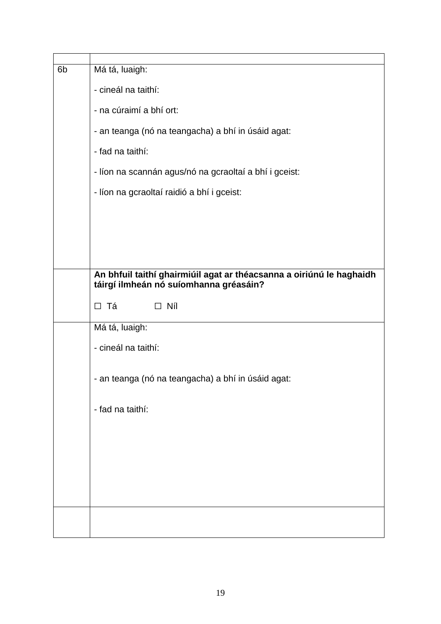| 6 <sub>b</sub> | Má tá, luaigh:                                                       |  |  |
|----------------|----------------------------------------------------------------------|--|--|
|                | - cineál na taithí:                                                  |  |  |
|                | - na cúraimí a bhí ort:                                              |  |  |
|                | - an teanga (nó na teangacha) a bhí in úsáid agat:                   |  |  |
|                | - fad na taithí:                                                     |  |  |
|                | - líon na scannán agus/nó na gcraoltaí a bhí i gceist:               |  |  |
|                | - líon na gcraoltaí raidió a bhí i gceist:                           |  |  |
|                |                                                                      |  |  |
|                |                                                                      |  |  |
|                |                                                                      |  |  |
|                | An bhfuil taithí ghairmiúil agat ar théacsanna a oiriúnú le haghaidh |  |  |
|                | táirgí ilmheán nó suíomhanna gréasáin?                               |  |  |
|                |                                                                      |  |  |
|                | □ Tá<br>$\Box$ Níl                                                   |  |  |
|                | Má tá, luaigh:                                                       |  |  |
|                | - cineál na taithí:                                                  |  |  |
|                | - an teanga (nó na teangacha) a bhí in úsáid agat:                   |  |  |
|                | - fad na taithí:                                                     |  |  |
|                |                                                                      |  |  |
|                |                                                                      |  |  |
|                |                                                                      |  |  |
|                |                                                                      |  |  |
|                |                                                                      |  |  |